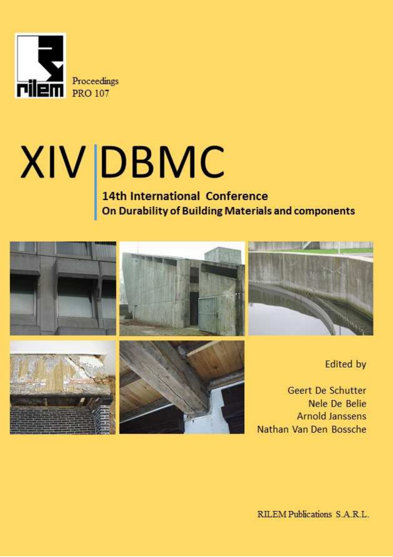

# $XIV$  DBMC<br>14th International Conference<br>On Durability of Building Materials and components

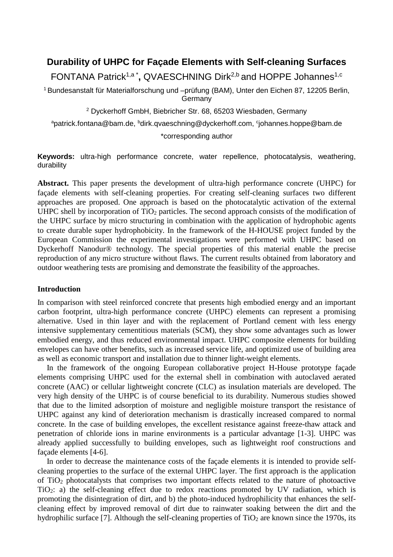# **Durability of UHPC for Façade Elements with Self-cleaning Surfaces**

FONTANA Patrick<sup>1,a\*</sup>, QVAESCHNING Dirk<sup>2,b</sup> and HOPPE Johannes<sup>1,c</sup>

<sup>1</sup> Bundesanstalt für Materialforschung und –prüfung (BAM), Unter den Eichen 87, 12205 Berlin, **Germany** 

2 Dyckerhoff GmbH, Biebricher Str. 68, 65203 Wiesbaden, Germany

<sup>a</sup>patrick.fontana@bam.de, <sup>b</sup>dirk.qvaeschning@dyckerhoff.com, <sup>c</sup>johannes.hoppe@bam.de

\*corresponding author

**Keywords:** ultra-high performance concrete, water repellence, photocatalysis, weathering, durability

**Abstract.** This paper presents the development of ultra-high performance concrete (UHPC) for façade elements with self-cleaning properties. For creating self-cleaning surfaces two different approaches are proposed. One approach is based on the photocatalytic activation of the external UHPC shell by incorporation of  $TiO<sub>2</sub>$  particles. The second approach consists of the modification of the UHPC surface by micro structuring in combination with the application of hydrophobic agents to create durable super hydrophobicity. In the framework of the H-HOUSE project funded by the European Commission the experimental investigations were performed with UHPC based on Dyckerhoff Nanodur® technology. The special properties of this material enable the precise reproduction of any micro structure without flaws. The current results obtained from laboratory and outdoor weathering tests are promising and demonstrate the feasibility of the approaches.

# **Introduction**

In comparison with steel reinforced concrete that presents high embodied energy and an important carbon footprint, ultra-high performance concrete (UHPC) elements can represent a promising alternative. Used in thin layer and with the replacement of Portland cement with less energy intensive supplementary cementitious materials (SCM), they show some advantages such as lower embodied energy, and thus reduced environmental impact. UHPC composite elements for building envelopes can have other benefits, such as increased service life, and optimized use of building area as well as economic transport and installation due to thinner light-weight elements.

In the framework of the ongoing European collaborative project H-House prototype façade elements comprising UHPC used for the external shell in combination with autoclaved aerated concrete (AAC) or cellular lightweight concrete (CLC) as insulation materials are developed. The very high density of the UHPC is of course beneficial to its durability. Numerous studies showed that due to the limited adsorption of moisture and negligible moisture transport the resistance of UHPC against any kind of deterioration mechanism is drastically increased compared to normal concrete. In the case of building envelopes, the excellent resistance against freeze-thaw attack and penetration of chloride ions in marine environments is a particular advantage [1-3]. UHPC was already applied successfully to building envelopes, such as lightweight roof constructions and façade elements [4-6].

In order to decrease the maintenance costs of the façade elements it is intended to provide selfcleaning properties to the surface of the external UHPC layer. The first approach is the application of TiO2 photocatalysts that comprises two important effects related to the nature of photoactive TiO2: a) the self-cleaning effect due to redox reactions promoted by UV radiation, which is promoting the disintegration of dirt, and b) the photo-induced hydrophilicity that enhances the selfcleaning effect by improved removal of dirt due to rainwater soaking between the dirt and the hydrophilic surface [7]. Although the self-cleaning properties of  $TiO<sub>2</sub>$  are known since the 1970s, its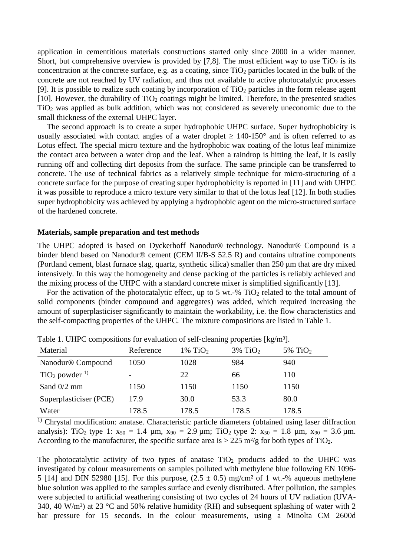application in cementitious materials constructions started only since 2000 in a wider manner. Short, but comprehensive overview is provided by [7,8]. The most efficient way to use  $TiO<sub>2</sub>$  is its concentration at the concrete surface, e.g. as a coating, since  $TiO<sub>2</sub>$  particles located in the bulk of the concrete are not reached by UV radiation, and thus not available to active photocatalytic processes [9]. It is possible to realize such coating by incorporation of  $TiO<sub>2</sub>$  particles in the form release agent [10]. However, the durability of  $TiO<sub>2</sub>$  coatings might be limited. Therefore, in the presented studies TiO2 was applied as bulk addition, which was not considered as severely uneconomic due to the small thickness of the external UHPC layer.

The second approach is to create a super hydrophobic UHPC surface. Super hydrophobicity is usually associated with contact angles of a water droplet  $\geq 140{\text -}150^{\circ}$  and is often referred to as Lotus effect. The special micro texture and the hydrophobic wax coating of the lotus leaf minimize the contact area between a water drop and the leaf. When a raindrop is hitting the leaf, it is easily running off and collecting dirt deposits from the surface. The same principle can be transferred to concrete. The use of technical fabrics as a relatively simple technique for micro-structuring of a concrete surface for the purpose of creating super hydrophobicity is reported in [11] and with UHPC it was possible to reproduce a micro texture very similar to that of the lotus leaf [12]. In both studies super hydrophobicity was achieved by applying a hydrophobic agent on the micro-structured surface of the hardened concrete.

# **Materials, sample preparation and test methods**

The UHPC adopted is based on Dyckerhoff Nanodur® technology. Nanodur® Compound is a binder blend based on Nanodur® cement (CEM II/B-S 52.5 R) and contains ultrafine components (Portland cement, blast furnace slag, quartz, synthetic silica) smaller than 250 µm that are dry mixed intensively. In this way the homogeneity and dense packing of the particles is reliably achieved and the mixing process of the UHPC with a standard concrete mixer is simplified significantly [13].

For the activation of the photocatalytic effect, up to 5 wt.-%  $TiO<sub>2</sub>$  related to the total amount of solid components (binder compound and aggregates) was added, which required increasing the amount of superplasticiser significantly to maintain the workability, i.e. the flow characteristics and the self-compacting properties of the UHPC. The mixture compositions are listed in Table 1.

| Twist Tribute Compositions for Cranaation of Sen Creating properties (he in Tr |           |                     |                        |                     |
|--------------------------------------------------------------------------------|-----------|---------------------|------------------------|---------------------|
| Material                                                                       | Reference | 1% TiO <sub>2</sub> | $3\%$ TiO <sub>2</sub> | 5% TiO <sub>2</sub> |
| Nanodur® Compound                                                              | 1050      | 1028                | 984                    | 940                 |
| TiO <sub>2</sub> powder <sup>1</sup>                                           |           | 22                  | 66                     | 110                 |
| Sand $0/2$ mm                                                                  | 1150      | 1150                | 1150                   | 1150                |
| Superplasticiser (PCE)                                                         | 17.9      | 30.0                | 53.3                   | 80.0                |
| Water                                                                          | 178.5     | 178.5               | 178.5                  | 178.5               |

Table 1. UHPC compositions for evaluation of self-cleaning properties [kg/m³].

<sup>1)</sup> Chrystal modification: anatase. Characteristic particle diameters (obtained using laser diffraction analysis): TiO<sub>2</sub> type 1:  $x_{50} = 1.4$  µm,  $x_{90} = 2.9$  µm; TiO<sub>2</sub> type 2:  $x_{50} = 1.8$  µm,  $x_{90} = 3.6$  µm. According to the manufacturer, the specific surface area is  $> 225$  m<sup>2</sup>/g for both types of TiO<sub>2</sub>.

The photocatalytic activity of two types of anatase  $TiO<sub>2</sub>$  products added to the UHPC was investigated by colour measurements on samples polluted with methylene blue following EN 1096- 5 [14] and DIN 52980 [15]. For this purpose,  $(2.5 \pm 0.5)$  mg/cm<sup>2</sup> of 1 wt.-% aqueous methylene blue solution was applied to the samples surface and evenly distributed. After pollution, the samples were subjected to artificial weathering consisting of two cycles of 24 hours of UV radiation (UVA-340, 40 W/m<sup>2</sup>) at 23 °C and 50% relative humidity (RH) and subsequent splashing of water with 2 bar pressure for 15 seconds. In the colour measurements, using a Minolta CM 2600d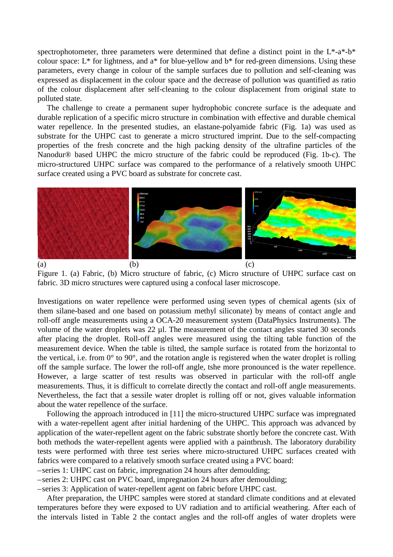spectrophotometer, three parameters were determined that define a distinct point in the L\*-a\*-b\* colour space: L\* for lightness, and a\* for blue-yellow and b\* for red-green dimensions. Using these parameters, every change in colour of the sample surfaces due to pollution and self-cleaning was expressed as displacement in the colour space and the decrease of pollution was quantified as ratio of the colour displacement after self-cleaning to the colour displacement from original state to polluted state.

The challenge to create a permanent super hydrophobic concrete surface is the adequate and durable replication of a specific micro structure in combination with effective and durable chemical water repellence. In the presented studies, an elastane-polyamide fabric (Fig. 1a) was used as substrate for the UHPC cast to generate a micro structured imprint. Due to the self-compacting properties of the fresh concrete and the high packing density of the ultrafine particles of the Nanodur® based UHPC the micro structure of the fabric could be reproduced (Fig. 1b-c). The micro-structured UHPC surface was compared to the performance of a relatively smooth UHPC surface created using a PVC board as substrate for concrete cast.



Figure 1. (a) Fabric, (b) Micro structure of fabric, (c) Micro structure of UHPC surface cast on fabric. 3D micro structures were captured using a confocal laser microscope.

Investigations on water repellence were performed using seven types of chemical agents (six of them silane-based and one based on potassium methyl siliconate) by means of contact angle and roll-off angle measurements using a OCA-20 measurement system (DataPhysics Instruments). The volume of the water droplets was 22 µl. The measurement of the contact angles started 30 seconds after placing the droplet. Roll-off angles were measured using the tilting table function of the measurement device. When the table is tilted, the sample surface is rotated from the horizontal to the vertical, i.e. from  $0^{\circ}$  to  $90^{\circ}$ , and the rotation angle is registered when the water droplet is rolling off the sample surface. The lower the roll-off angle, tshe more pronounced is the water repellence. However, a large scatter of test results was observed in particular with the roll-off angle measurements. Thus, it is difficult to correlate directly the contact and roll-off angle measurements. Nevertheless, the fact that a sessile water droplet is rolling off or not, gives valuable information about the water repellence of the surface.

Following the approach introduced in [11] the micro-structured UHPC surface was impregnated with a water-repellent agent after initial hardening of the UHPC. This approach was advanced by application of the water-repellent agent on the fabric substrate shortly before the concrete cast. With both methods the water-repellent agents were applied with a paintbrush. The laboratory durability tests were performed with three test series where micro-structured UHPC surfaces created with fabrics were compared to a relatively smooth surface created using a PVC board:

– series 1: UHPC cast on fabric, impregnation 24 hours after demoulding;

– series 2: UHPC cast on PVC board, impregnation 24 hours after demoulding;

– series 3: Application of water-repellent agent on fabric before UHPC cast.

After preparation, the UHPC samples were stored at standard climate conditions and at elevated temperatures before they were exposed to UV radiation and to artificial weathering. After each of the intervals listed in Table 2 the contact angles and the roll-off angles of water droplets were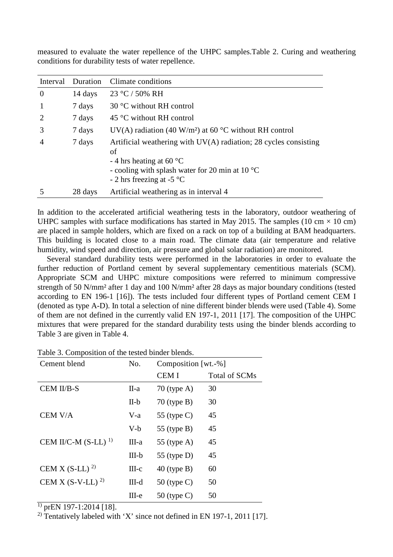| Interval       | Duration | Climate conditions                                                                                                                                                                                          |
|----------------|----------|-------------------------------------------------------------------------------------------------------------------------------------------------------------------------------------------------------------|
| $\overline{0}$ | 14 days  | 23 °C / 50% RH                                                                                                                                                                                              |
|                | 7 days   | 30 $\degree$ C without RH control                                                                                                                                                                           |
|                | 7 days   | 45 °C without RH control                                                                                                                                                                                    |
| 3              | 7 days   | UV(A) radiation (40 W/m <sup>2</sup> ) at 60 °C without RH control                                                                                                                                          |
| $\overline{A}$ | 7 days   | Artificial weathering with $UV(A)$ radiation; 28 cycles consisting<br>οf<br>- 4 hrs heating at 60 $^{\circ}$ C<br>- cooling with splash water for 20 min at 10 $^{\circ}$ C<br>$-2$ hrs freezing at $-5$ °C |
|                | 28 days  | Artificial weathering as in interval 4                                                                                                                                                                      |

measured to evaluate the water repellence of the UHPC samples.Table 2. Curing and weathering conditions for durability tests of water repellence.

In addition to the accelerated artificial weathering tests in the laboratory, outdoor weathering of UHPC samples with surface modifications has started in May 2015. The samples (10 cm  $\times$  10 cm) are placed in sample holders, which are fixed on a rack on top of a building at BAM headquarters. This building is located close to a main road. The climate data (air temperature and relative humidity, wind speed and direction, air pressure and global solar radiation) are monitored.

Several standard durability tests were performed in the laboratories in order to evaluate the further reduction of Portland cement by several supplementary cementitious materials (SCM). Appropriate SCM and UHPC mixture compositions were referred to minimum compressive strength of 50 N/mm² after 1 day and 100 N/mm² after 28 days as major boundary conditions (tested according to EN 196-1 [16]). The tests included four different types of Portland cement CEM I (denoted as type A-D). In total a selection of nine different binder blends were used (Table 4). Some of them are not defined in the currently valid EN 197-1, 2011 [17]. The composition of the UHPC mixtures that were prepared for the standard durability tests using the binder blends according to Table 3 are given in Table 4.

| Cement blend                 | No.       | Composition [wt.-%] |               |
|------------------------------|-----------|---------------------|---------------|
|                              |           | <b>CEMI</b>         | Total of SCMs |
| CEM II/B-S                   | II-a      | $70$ (type A)       | 30            |
|                              | $II-b$    | $70$ (type B)       | 30            |
| CEM V/A                      | $V-a$     | 55 (type $C$ )      | 45            |
|                              | V-b       | 55 (type $B$ )      | 45            |
| CEM II/C-M $(S-LL)^{1}$      | III-a     | 55 (type $A$ )      | 45            |
|                              | $III-b$   | 55 (type $D$ )      | 45            |
| CEM X (S-LL) <sup>2)</sup>   | $III-c$   | $40$ (type B)       | 60            |
| CEM X (S-V-LL) <sup>2)</sup> | $III-d$   | 50 (type $C$ )      | 50            |
|                              | $III - e$ | 50 (type $C$ )      | 50            |

Table 3. Composition of the tested binder blends.

 $\overline{1}$ ) prEN 197-1:2014 [18].

<sup>2)</sup> Tentatively labeled with 'X' since not defined in EN 197-1, 2011 [17].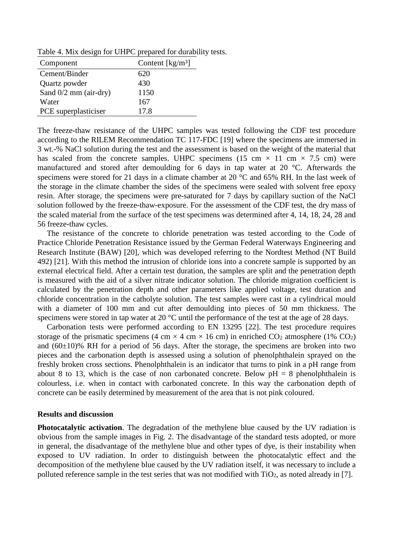Table 4. Mix design for UHPC prepared for durability tests.

| Component               | Content $\left[\frac{kg}{m^3}\right]$ |
|-------------------------|---------------------------------------|
| Cement/Binder           | 620                                   |
| Quartz powder           | 430                                   |
| Sand $0/2$ mm (air-dry) | 1150                                  |
| Water                   | 167                                   |
| PCE superplasticiser    | 17.8                                  |

The freeze-thaw resistance of the UHPC samples was tested following the CDF test procedure according to the RILEM Recommendation TC 117-FDC [19] where the specimens are immersed in 3 wt.-% NaCl solution during the test and the assessment is based on the weight of the material that has scaled from the concrete samples. UHPC specimens (15 cm  $\times$  11 cm  $\times$  7.5 cm) were manufactured and stored after demoulding for 6 days in tap water at 20 °C. Afterwards the specimens were stored for 21 days in a climate chamber at 20 °C and 65% RH. In the last week of the storage in the climate chamber the sides of the specimens were sealed with solvent free epoxy resin. After storage, the specimens were pre-saturated for 7 days by capillary suction of the NaCl solution followed by the freeze-thaw-exposure. For the assessment of the CDF test, the dry mass of the scaled material from the surface of the test specimens was determined after 4, 14, 18, 24, 28 and 56 freeze-thaw cycles.

The resistance of the concrete to chloride penetration was tested according to the Code of Practice Chloride Penetration Resistance issued by the German Federal Waterways Engineering and Research Institute (BAW) [20], which was developed referring to the Nordtest Method (NT Build 492) [21]. With this method the intrusion of chloride ions into a concrete sample is supported by an external electrical field. After a certain test duration, the samples are split and the penetration depth is measured with the aid of a silver nitrate indicator solution. The chloride migration coefficient is calculated by the penetration depth and other parameters like applied voltage, test duration and chloride concentration in the catholyte solution. The test samples were cast in a cylindrical mould with a diameter of 100 mm and cut after demoulding into pieces of 50 mm thickness. The specimens were stored in tap water at 20 °C until the performance of the test at the age of 28 days.

Carbonation tests were performed according to EN 13295 [22]. The test procedure requires storage of the prismatic specimens (4 cm  $\times$  4 cm  $\times$  16 cm) in enriched CO<sub>2</sub> atmosphere (1% CO<sub>2</sub>) and  $(60\pm10)\%$  RH for a period of 56 days. After the storage, the specimens are broken into two pieces and the carbonation depth is assessed using a solution of phenolphthalein sprayed on the freshly broken cross sections. Phenolphthalein is an indicator that turns to pink in a pH range from about 8 to 13, which is the case of non carbonated concrete. Below  $pH = 8$  phenolphthalein is colourless, i.e. when in contact with carbonated concrete. In this way the carbonation depth of concrete can be easily determined by measurement of the area that is not pink coloured.

#### **Results and discussion**

**Photocatalytic activation**. The degradation of the methylene blue caused by the UV radiation is obvious from the sample images in Fig. 2. The disadvantage of the standard tests adopted, or more in general, the disadvantage of the methylene blue and other types of dye, is their instability when exposed to UV radiation. In order to distinguish between the photocatalytic effect and the decomposition of the methylene blue caused by the UV radiation itself, it was necessary to include a polluted reference sample in the test series that was not modified with TiO<sub>2</sub>, as noted already in [7].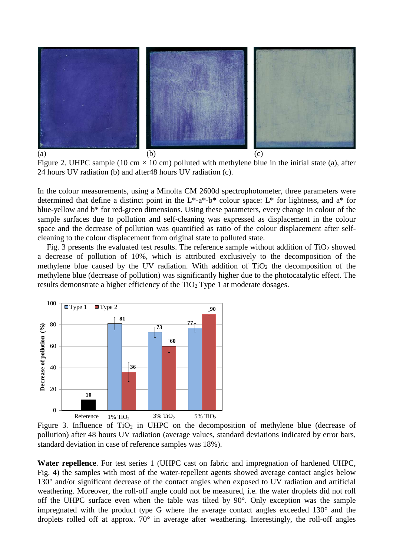

Figure 2. UHPC sample (10 cm  $\times$  10 cm) polluted with methylene blue in the initial state (a), after 24 hours UV radiation (b) and after48 hours UV radiation (c).

In the colour measurements, using a Minolta CM 2600d spectrophotometer, three parameters were determined that define a distinct point in the  $L^*$ -a<sup>\*</sup>-b<sup>\*</sup> colour space:  $L^*$  for lightness, and a<sup>\*</sup> for blue-yellow and b\* for red-green dimensions. Using these parameters, every change in colour of the sample surfaces due to pollution and self-cleaning was expressed as displacement in the colour space and the decrease of pollution was quantified as ratio of the colour displacement after selfcleaning to the colour displacement from original state to polluted state.

Fig. 3 presents the evaluated test results. The reference sample without addition of  $TiO<sub>2</sub>$  showed a decrease of pollution of 10%, which is attributed exclusively to the decomposition of the methylene blue caused by the UV radiation. With addition of  $TiO<sub>2</sub>$  the decomposition of the methylene blue (decrease of pollution) was significantly higher due to the photocatalytic effect. The results demonstrate a higher efficiency of the  $TiO<sub>2</sub>$  Type 1 at moderate dosages.



Figure 3. Influence of  $TiO<sub>2</sub>$  in UHPC on the decomposition of methylene blue (decrease of pollution) after 48 hours UV radiation (average values, standard deviations indicated by error bars, standard deviation in case of reference samples was 18%).

**Water repellence**. For test series 1 (UHPC cast on fabric and impregnation of hardened UHPC, Fig. 4) the samples with most of the water-repellent agents showed average contact angles below 130° and/or significant decrease of the contact angles when exposed to UV radiation and artificial weathering. Moreover, the roll-off angle could not be measured, i.e. the water droplets did not roll off the UHPC surface even when the table was tilted by 90°. Only exception was the sample impregnated with the product type G where the average contact angles exceeded 130° and the droplets rolled off at approx. 70° in average after weathering. Interestingly, the roll-off angles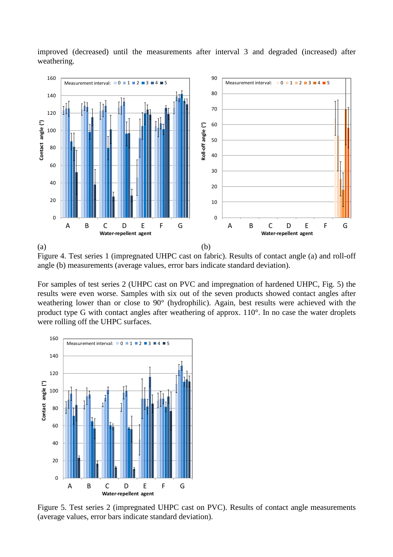improved (decreased) until the measurements after interval 3 and degraded (increased) after weathering.



Figure 4. Test series 1 (impregnated UHPC cast on fabric). Results of contact angle (a) and roll-off angle (b) measurements (average values, error bars indicate standard deviation).

For samples of test series 2 (UHPC cast on PVC and impregnation of hardened UHPC, Fig. 5) the results were even worse. Samples with six out of the seven products showed contact angles after weathering lower than or close to 90° (hydrophilic). Again, best results were achieved with the product type G with contact angles after weathering of approx. 110°. In no case the water droplets were rolling off the UHPC surfaces.



Figure 5. Test series 2 (impregnated UHPC cast on PVC). Results of contact angle measurements (average values, error bars indicate standard deviation).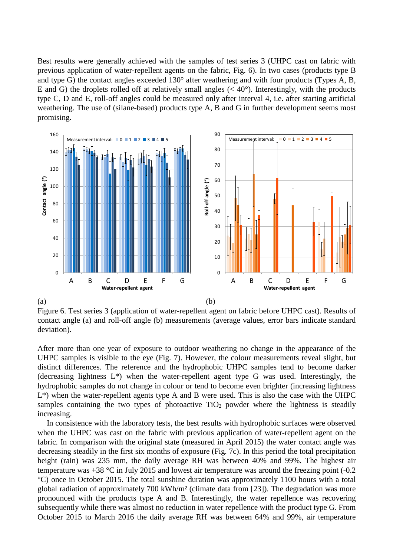Best results were generally achieved with the samples of test series 3 (UHPC cast on fabric with previous application of water-repellent agents on the fabric, Fig. 6). In two cases (products type B and type G) the contact angles exceeded 130° after weathering and with four products (Types A, B, E and G) the droplets rolled off at relatively small angles  $( $40^{\circ}$ ). Interestingly, with the products$ type C, D and E, roll-off angles could be measured only after interval 4, i.e. after starting artificial weathering. The use of (silane-based) products type A, B and G in further development seems most promising.



Figure 6. Test series 3 (application of water-repellent agent on fabric before UHPC cast). Results of contact angle (a) and roll-off angle (b) measurements (average values, error bars indicate standard deviation).

After more than one year of exposure to outdoor weathering no change in the appearance of the UHPC samples is visible to the eye (Fig. 7). However, the colour measurements reveal slight, but distinct differences. The reference and the hydrophobic UHPC samples tend to become darker (decreasing lightness L\*) when the water-repellent agent type G was used. Interestingly, the hydrophobic samples do not change in colour or tend to become even brighter (increasing lightness L\*) when the water-repellent agents type A and B were used. This is also the case with the UHPC samples containing the two types of photoactive  $TiO<sub>2</sub>$  powder where the lightness is steadily increasing.

In consistence with the laboratory tests, the best results with hydrophobic surfaces were observed when the UHPC was cast on the fabric with previous application of water-repellent agent on the fabric. In comparison with the original state (measured in April 2015) the water contact angle was decreasing steadily in the first six months of exposure (Fig. 7c). In this period the total precipitation height (rain) was 235 mm, the daily average RH was between 40% and 99%. The highest air temperature was +38 °C in July 2015 and lowest air temperature was around the freezing point (-0.2 °C) once in October 2015. The total sunshine duration was approximately 1100 hours with a total global radiation of approximately 700 kWh/m² (climate data from [23]). The degradation was more pronounced with the products type A and B. Interestingly, the water repellence was recovering subsequently while there was almost no reduction in water repellence with the product type G. From October 2015 to March 2016 the daily average RH was between 64% and 99%, air temperature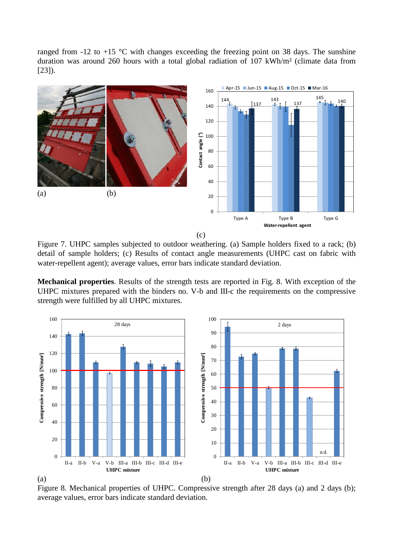ranged from  $-12$  to  $+15$  °C with changes exceeding the freezing point on 38 days. The sunshine duration was around 260 hours with a total global radiation of 107 kWh/m² (climate data from [23]).



Figure 7. UHPC samples subjected to outdoor weathering. (a) Sample holders fixed to a rack; (b) detail of sample holders; (c) Results of contact angle measurements (UHPC cast on fabric with water-repellent agent); average values, error bars indicate standard deviation.

**Mechanical properties**. Results of the strength tests are reported in Fig. 8. With exception of the UHPC mixtures prepared with the binders no. V-b and III-c the requirements on the compressive strength were fulfilled by all UHPC mixtures.



Figure 8. Mechanical properties of UHPC. Compressive strength after 28 days (a) and 2 days (b); average values, error bars indicate standard deviation.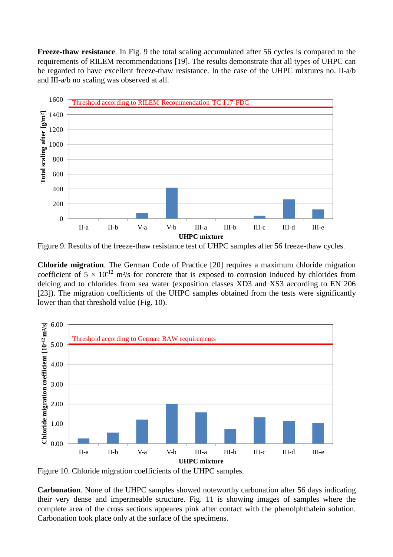**Freeze-thaw resistance**. In Fig. 9 the total scaling accumulated after 56 cycles is compared to the requirements of RILEM recommendations [19]. The results demonstrate that all types of UHPC can be regarded to have excellent freeze-thaw resistance. In the case of the UHPC mixtures no. II-a/b and III-a/b no scaling was observed at all.



Figure 9. Results of the freeze-thaw resistance test of UHPC samples after 56 freeze-thaw cycles.

**Chloride migration**. The German Code of Practice [20] requires a maximum chloride migration coefficient of  $5 \times 10^{-12}$  m<sup>2</sup>/s for concrete that is exposed to corrosion induced by chlorides from deicing and to chlorides from sea water (exposition classes XD3 and XS3 according to EN 206 [23]). The migration coefficients of the UHPC samples obtained from the tests were significantly lower than that threshold value (Fig. 10).



Figure 10. Chloride migration coefficients of the UHPC samples.

**Carbonation**. None of the UHPC samples showed noteworthy carbonation after 56 days indicating their very dense and impermeable structure. Fig. 11 is showing images of samples where the complete area of the cross sections appeares pink after contact with the phenolphthalein solution. Carbonation took place only at the surface of the specimens.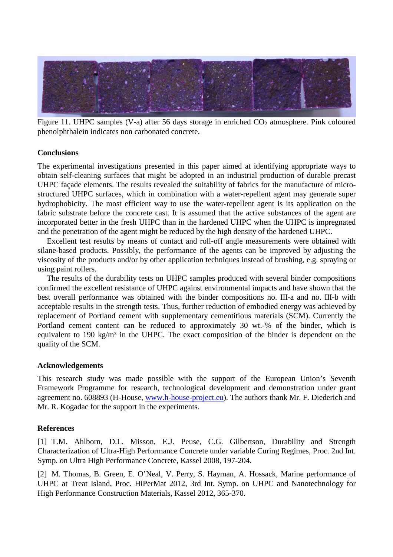

Figure 11. UHPC samples (V-a) after 56 days storage in enriched  $CO<sub>2</sub>$  atmosphere. Pink coloured phenolphthalein indicates non carbonated concrete.

# **Conclusions**

The experimental investigations presented in this paper aimed at identifying appropriate ways to obtain self-cleaning surfaces that might be adopted in an industrial production of durable precast UHPC façade elements. The results revealed the suitability of fabrics for the manufacture of microstructured UHPC surfaces, which in combination with a water-repellent agent may generate super hydrophobicity. The most efficient way to use the water-repellent agent is its application on the fabric substrate before the concrete cast. It is assumed that the active substances of the agent are incorporated better in the fresh UHPC than in the hardened UHPC when the UHPC is impregnated and the penetration of the agent might be reduced by the high density of the hardened UHPC.

Excellent test results by means of contact and roll-off angle measurements were obtained with silane-based products. Possibly, the performance of the agents can be improved by adjusting the viscosity of the products and/or by other application techniques instead of brushing, e.g. spraying or using paint rollers.

The results of the durability tests on UHPC samples produced with several binder compositions confirmed the excellent resistance of UHPC against environmental impacts and have shown that the best overall performance was obtained with the binder compositions no. III-a and no. III-b with acceptable results in the strength tests. Thus, further reduction of embodied energy was achieved by replacement of Portland cement with supplementary cementitious materials (SCM). Currently the Portland cement content can be reduced to approximately 30 wt.-% of the binder, which is equivalent to 190 kg/m<sup>3</sup> in the UHPC. The exact composition of the binder is dependent on the quality of the SCM.

# **Acknowledgements**

This research study was made possible with the support of the European Union's Seventh Framework Programme for research, technological development and demonstration under grant agreement no. 608893 (H-House, www.h-house-project.eu). The authors thank Mr. F. Diederich and Mr. R. Kogadac for the support in the experiments.

# **References**

[1] T.M. Ahlborn, D.L. Misson, E.J. Peuse, C.G. Gilbertson, Durability and Strength Characterization of Ultra-High Performance Concrete under variable Curing Regimes, Proc. 2nd Int. Symp. on Ultra High Performance Concrete, Kassel 2008, 197-204.

[2] M. Thomas, B. Green, E. O'Neal, V. Perry, S. Hayman, A. Hossack, Marine performance of UHPC at Treat Island, Proc. HiPerMat 2012, 3rd Int. Symp. on UHPC and Nanotechnology for High Performance Construction Materials, Kassel 2012, 365-370.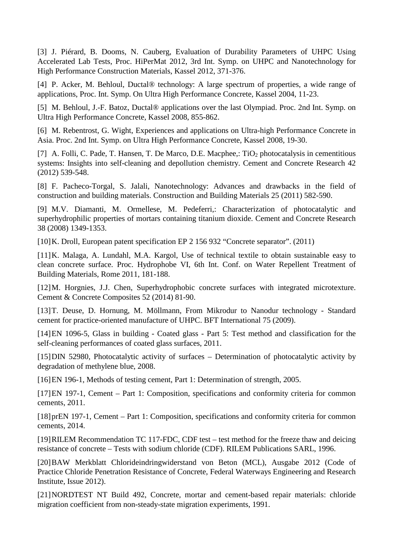[3] J. Piérard, B. Dooms, N. Cauberg, Evaluation of Durability Parameters of UHPC Using Accelerated Lab Tests, Proc. HiPerMat 2012, 3rd Int. Symp. on UHPC and Nanotechnology for High Performance Construction Materials, Kassel 2012, 371-376.

[4] P. Acker, M. Behloul, Ductal® technology: A large spectrum of properties, a wide range of applications, Proc. Int. Symp. On Ultra High Performance Concrete, Kassel 2004, 11-23.

[5] M. Behloul, J.-F. Batoz, Ductal® applications over the last Olympiad. Proc. 2nd Int. Symp. on Ultra High Performance Concrete, Kassel 2008, 855-862.

[6] M. Rebentrost, G. Wight, Experiences and applications on Ultra-high Performance Concrete in Asia. Proc. 2nd Int. Symp. on Ultra High Performance Concrete, Kassel 2008, 19-30.

[7] A. Folli, C. Pade, T. Hansen, T. De Marco, D.E. Macphee,: TiO<sub>2</sub> photocatalysis in cementitious systems: Insights into self-cleaning and depollution chemistry. Cement and Concrete Research 42 (2012) 539-548.

[8] F. Pacheco-Torgal, S. Jalali, Nanotechnology: Advances and drawbacks in the field of construction and building materials. Construction and Building Materials 25 (2011) 582-590.

[9] M.V. Diamanti, M. Ormellese, M. Pedeferri,: Characterization of photocatalytic and superhydrophilic properties of mortars containing titanium dioxide. Cement and Concrete Research 38 (2008) 1349-1353.

[10] K. Droll, European patent specification EP 2 156 932 "Concrete separator". (2011)

[11] K. Malaga, A. Lundahl, M.A. Kargol, Use of technical textile to obtain sustainable easy to clean concrete surface. Proc. Hydrophobe VI, 6th Int. Conf. on Water Repellent Treatment of Building Materials, Rome 2011, 181-188.

[12] M. Horgnies, J.J. Chen, Superhydrophobic concrete surfaces with integrated microtexture. Cement & Concrete Composites 52 (2014) 81-90.

[13] T. Deuse, D. Hornung, M. Möllmann, From Mikrodur to Nanodur technology - Standard cement for practice-oriented manufacture of UHPC. BFT International 75 (2009).

[14] EN 1096-5, Glass in building - Coated glass - Part 5: Test method and classification for the self-cleaning performances of coated glass surfaces, 2011.

[15] DIN 52980, Photocatalytic activity of surfaces – Determination of photocatalytic activity by degradation of methylene blue, 2008.

[16] EN 196-1, Methods of testing cement, Part 1: Determination of strength, 2005.

[17] EN 197-1, Cement – Part 1: Composition, specifications and conformity criteria for common cements, 2011.

[18] prEN 197-1, Cement – Part 1: Composition, specifications and conformity criteria for common cements, 2014.

[19] RILEM Recommendation TC 117-FDC, CDF test – test method for the freeze thaw and deicing resistance of concrete – Tests with sodium chloride (CDF). RILEM Publications SARL, 1996.

[20] BAW Merkblatt Chlorideindringwiderstand von Beton (MCL), Ausgabe 2012 (Code of Practice Chloride Penetration Resistance of Concrete, Federal Waterways Engineering and Research Institute, Issue 2012).

[21] NORDTEST NT Build 492, Concrete, mortar and cement-based repair materials: chloride migration coefficient from non-steady-state migration experiments, 1991.